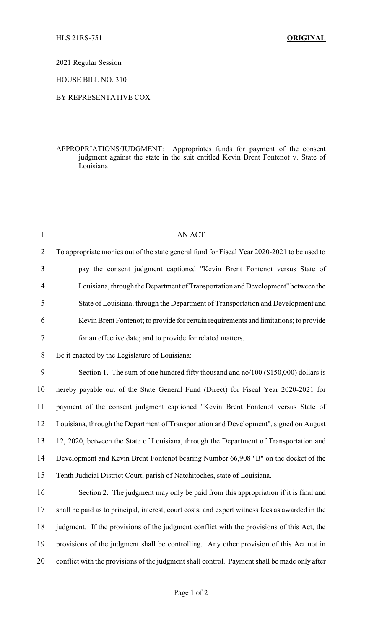2021 Regular Session

HOUSE BILL NO. 310

## BY REPRESENTATIVE COX

## APPROPRIATIONS/JUDGMENT: Appropriates funds for payment of the consent judgment against the state in the suit entitled Kevin Brent Fontenot v. State of Louisiana

| $\mathbf{1}$   | <b>AN ACT</b>                                                                                   |
|----------------|-------------------------------------------------------------------------------------------------|
| $\overline{2}$ | To appropriate monies out of the state general fund for Fiscal Year 2020-2021 to be used to     |
| 3              | pay the consent judgment captioned "Kevin Brent Fontenot versus State of                        |
| 4              | Louisiana, through the Department of Transportation and Development" between the                |
| 5              | State of Louisiana, through the Department of Transportation and Development and                |
| 6              | Kevin Brent Fontenot; to provide for certain requirements and limitations; to provide           |
| 7              | for an effective date; and to provide for related matters.                                      |
| 8              | Be it enacted by the Legislature of Louisiana:                                                  |
| 9              | Section 1. The sum of one hundred fifty thousand and no/100 (\$150,000) dollars is              |
| 10             | hereby payable out of the State General Fund (Direct) for Fiscal Year 2020-2021 for             |
| 11             | payment of the consent judgment captioned "Kevin Brent Fontenot versus State of                 |
| 12             | Louisiana, through the Department of Transportation and Development", signed on August          |
| 13             | 12, 2020, between the State of Louisiana, through the Department of Transportation and          |
| 14             | Development and Kevin Brent Fontenot bearing Number 66,908 "B" on the docket of the             |
| 15             | Tenth Judicial District Court, parish of Natchitoches, state of Louisiana.                      |
| 16             | Section 2. The judgment may only be paid from this appropriation if it is final and             |
| 17             | shall be paid as to principal, interest, court costs, and expert witness fees as awarded in the |
| 18             | judgment. If the provisions of the judgment conflict with the provisions of this Act, the       |
| 19             | provisions of the judgment shall be controlling. Any other provision of this Act not in         |
| 20             | conflict with the provisions of the judgment shall control. Payment shall be made only after    |